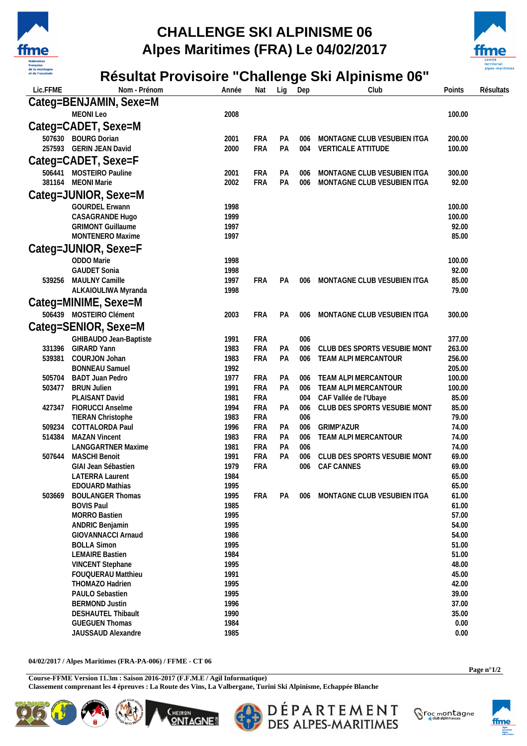

## **CHALLENGE SKI ALPINISME 06 Alpes Maritimes (FRA) Le 04/02/2017**



## **Résultat Provisoire "Challenge Ski Alpinisme 06"**

| Lic.FFME | Nom - Prénom                                 | Année        | Nat                      | Lig      | Dep        | Club                            | Points         | Résultats |
|----------|----------------------------------------------|--------------|--------------------------|----------|------------|---------------------------------|----------------|-----------|
|          | Categ=BENJAMIN, Sexe=M                       |              |                          |          |            |                                 |                |           |
|          | MEONI Leo                                    | 2008         |                          |          |            |                                 | 100.00         |           |
|          | Categ=CADET, Sexe=M                          |              |                          |          |            |                                 |                |           |
|          | 507630 BOURG Dorian                          | 2001         | <b>FRA</b>               | РA       | 006        | MONTAGNE CLUB VESUBIEN ITGA     | 200.00         |           |
|          | 257593 GERIN JEAN David                      | 2000         | <b>FRA</b>               | PA       | 004        | VERTICALE ATTITUDE              | 100.00         |           |
|          | Categ=CADET, Sexe=F                          |              |                          |          |            |                                 |                |           |
|          | 506441 MOSTEIRO Pauline                      | 2001         | FRA                      | PA       | 006        | MONTAGNE CLUB VESUBIEN ITGA     | 300.00         |           |
|          | 381164 MEONI Marie                           | 2002         | <b>FRA</b>               | PA       | 006        | MONTAGNE CLUB VESUBIEN ITGA     | 92.00          |           |
|          | Categ=JUNIOR, Sexe=M                         |              |                          |          |            |                                 |                |           |
|          | <b>GOURDEL Erwann</b>                        | 1998         |                          |          |            |                                 | 100.00         |           |
|          | CASAGRANDE Hugo                              | 1999         |                          |          |            |                                 | 100.00         |           |
|          | <b>GRIMONT Guillaume</b>                     | 1997         |                          |          |            |                                 | 92.00          |           |
|          | MONTENERO Maxime                             | 1997         |                          |          |            |                                 | 85.00          |           |
|          | Categ=JUNIOR, Sexe=F                         |              |                          |          |            |                                 |                |           |
|          | ODDO Marie                                   | 1998         |                          |          |            |                                 | 100.00         |           |
|          | <b>GAUDET Sonia</b>                          | 1998         |                          |          |            |                                 | 92.00          |           |
| 539256   | MAULNY Camille                               | 1997         | <b>FRA</b>               | PA       | 006        | MONTAGNE CLUB VESUBIEN ITGA     | 85.00          |           |
|          | ALKAIOULIWA Myranda                          | 1998         |                          |          |            |                                 | 79.00          |           |
|          | Categ=MINIME, Sexe=M                         |              |                          |          |            |                                 |                |           |
|          | 506439 MOSTEIRO Clément                      | 2003         | <b>FRA</b>               | PA       | 006        | MONTAGNE CLUB VESUBIEN ITGA     | 300.00         |           |
|          | Categ=SENIOR, Sexe=M                         |              |                          |          |            |                                 |                |           |
|          | GHIBAUDO Jean-Baptiste                       | 1991         | FRA                      |          | 006        |                                 | 377.00         |           |
| 331396   | <b>GIRARD Yann</b>                           | 1983         | <b>FRA</b>               | PA       | 006        | CLUB DES SPORTS VESUBIE MONT    | 263.00         |           |
| 539381   | COURJON Johan                                | 1983         | <b>FRA</b>               | PA       | 006        | TEAM ALPI MERCANTOUR            | 256.00         |           |
|          | <b>BONNEAU Samuel</b>                        | 1992         |                          |          |            |                                 | 205.00         |           |
| 505704   | <b>BADT Juan Pedro</b>                       | 1977         | <b>FRA</b>               | PA       | 006        | TEAM ALPI MERCANTOUR            | 100.00         |           |
| 503477   | <b>BRUN Julien</b>                           | 1991         | <b>FRA</b>               | PA       | 006        | TEAM ALPI MERCANTOUR            | 100.00         |           |
|          | PLAISANT David                               | 1981         | <b>FRA</b>               |          | 004        | CAF Vallée de l'Ubaye           | 85.00          |           |
| 427347   | <b>FIORUCCI Anselme</b>                      | 1994         | <b>FRA</b>               | PA       | 006        | CLUB DES SPORTS VESUBIE MONT    | 85.00          |           |
| 509234   | TIERAN Christophe<br>COTTALORDA Paul         | 1983         | <b>FRA</b><br><b>FRA</b> |          | 006        | <b>GRIMP'AZUR</b>               | 79.00          |           |
| 514384   | <b>MAZAN Vincent</b>                         | 1996<br>1983 | <b>FRA</b>               | PA<br>PA | 006<br>006 | TEAM ALPI MERCANTOUR            | 74.00<br>74.00 |           |
|          | <b>LANGGARTNER Maxime</b>                    | 1981         | FRA                      | PA       | 006        |                                 | 74.00          |           |
| 507644   | <b>MASCHI Benoit</b>                         | 1991         | <b>FRA</b>               | PA       | 006        | CLUB DES SPORTS VESUBIE MONT    | 69.00          |           |
|          | GIAI Jean Sébastien                          | 1979         | <b>FRA</b>               |          | 006        | CAF CANNES                      | 69.00          |           |
|          | LATERRA Laurent                              | 1984         |                          |          |            |                                 | 65.00          |           |
|          | EDOUARD Mathias                              | 1995         |                          |          |            |                                 | 65.00          |           |
| 503669   | <b>BOULANGER Thomas</b>                      | 1995         | <b>FRA</b>               | PA       |            | 006 MONTAGNE CLUB VESUBIEN ITGA | 61.00          |           |
|          | <b>BOVIS Paul</b>                            | 1985         |                          |          |            |                                 | 61.00          |           |
|          | <b>MORRO Bastien</b>                         | 1995<br>1995 |                          |          |            |                                 | 57.00<br>54.00 |           |
|          | ANDRIC Benjamin<br><b>GIOVANNACCI Arnaud</b> | 1986         |                          |          |            |                                 | 54.00          |           |
|          | <b>BOLLA Simon</b>                           | 1995         |                          |          |            |                                 | 51.00          |           |
|          | <b>LEMAIRE Bastien</b>                       | 1984         |                          |          |            |                                 | 51.00          |           |
|          | <b>VINCENT Stephane</b>                      | 1995         |                          |          |            |                                 | 48.00          |           |
|          | <b>FOUQUERAU Matthieu</b>                    | 1991         |                          |          |            |                                 | 45.00          |           |
|          | THOMAZO Hadrien                              | 1995         |                          |          |            |                                 | 42.00          |           |
|          | PAULO Sebastien                              | 1995         |                          |          |            |                                 | 39.00          |           |
|          | <b>BERMOND Justin</b>                        | 1996         |                          |          |            |                                 | 37.00          |           |
|          | DESHAUTEL Thibault                           | 1990         |                          |          |            |                                 | 35.00          |           |
|          | <b>GUEGUEN Thomas</b><br>JAUSSAUD Alexandre  | 1984<br>1985 |                          |          |            |                                 | 0.00<br>0.00   |           |
|          |                                              |              |                          |          |            |                                 |                |           |

**04/02/2017 / Alpes Maritimes (FRA-PA-006) / FFME - CT 06** 

**Course-FFME Version 11.3m : Saison 2016-2017 (F.F.M.E / Agil Informatique) Classement comprenant les 4 épreuves : La Route des Vins, La Valbergane, Turini Ski Alpinisme, Echappée Blanche** 





DÉPARTEMENT<br>DES ALPES-MARITIMES Sroc montagne



**Page n°1/2**